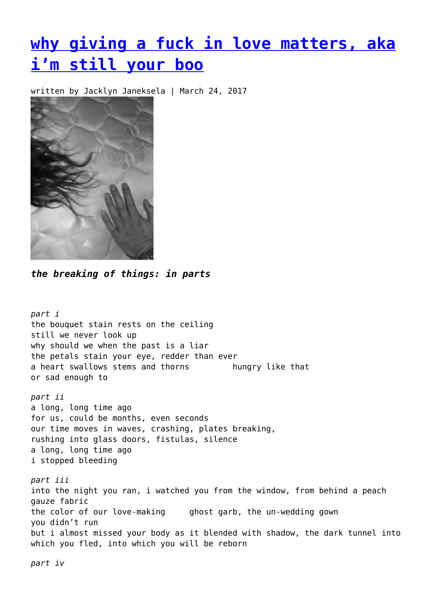## **[why giving a fuck in love matters, aka](https://entropymag.org/why-giving-a-fuck-in-love-matters-aka-im-still-your-boo/) [i'm still your boo](https://entropymag.org/why-giving-a-fuck-in-love-matters-aka-im-still-your-boo/)**

written by Jacklyn Janeksela | March 24, 2017



*the breaking of things: in parts*

*part i* the bouquet stain rests on the ceiling still we never look up why should we when the past is a liar the petals stain your eye, redder than ever a heart swallows stems and thorns hungry like that or sad enough to *part ii* a long, long time ago for us, could be months, even seconds our time moves in waves, crashing, plates breaking, rushing into glass doors, fistulas, silence a long, long time ago i stopped bleeding *part iii* into the night you ran, i watched you from the window, from behind a peach gauze fabric the color of our love-making ghost garb, the un-wedding gown you didn't run but i almost missed your body as it blended with shadow, the dark tunnel into which you fled, into which you will be reborn

*part iv*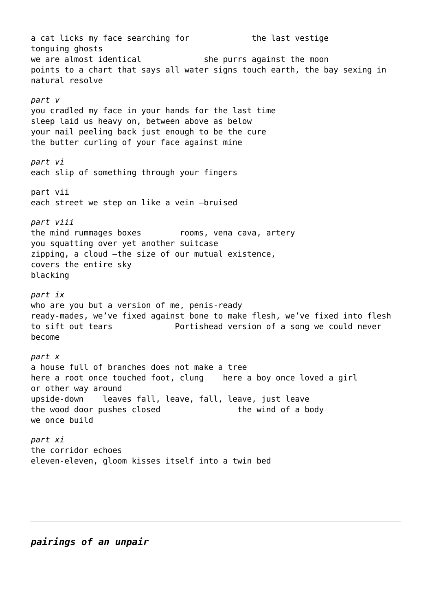a cat licks my face searching for the last vestige tonguing ghosts we are almost identical she purrs against the moon points to a chart that says all water signs touch earth, the bay sexing in natural resolve *part v* you cradled my face in your hands for the last time sleep laid us heavy on, between above as below your nail peeling back just enough to be the cure the butter curling of your face against mine *part vi* each slip of something through your fingers part vii each street we step on like a vein –bruised *part viii* the mind rummages boxes rooms, vena cava, artery you squatting over yet another suitcase zipping, a cloud –the size of our mutual existence, covers the entire sky blacking *part ix* who are you but a version of me, penis-ready ready-mades, we've fixed against bone to make flesh, we've fixed into flesh to sift out tears Portishead version of a song we could never become *part x* a house full of branches does not make a tree here a root once touched foot, clung here a boy once loved a girl or other way around upside-down leaves fall, leave, fall, leave, just leave the wood door pushes closed the wind of a body we once build *part xi* the corridor echoes eleven-eleven, gloom kisses itself into a twin bed

*pairings of an unpair*